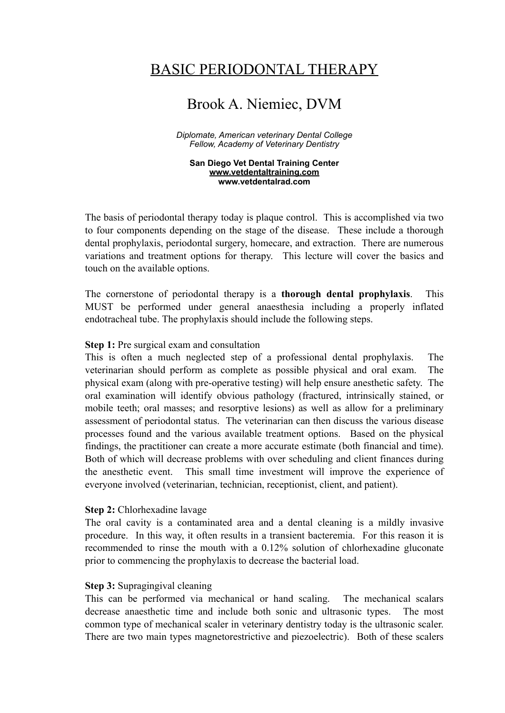# BASIC PERIODONTAL THERAPY

# Brook A. Niemiec, DVM

*Diplomate, American veterinary Dental College Fellow, Academy of Veterinary Dentistry*

**San Diego Vet Dental Training Center [www.vetdentaltraining.com](http://www.vetdentaltraining.com) www.vetdentalrad.com**

The basis of periodontal therapy today is plaque control. This is accomplished via two to four components depending on the stage of the disease. These include a thorough dental prophylaxis, periodontal surgery, homecare, and extraction. There are numerous variations and treatment options for therapy. This lecture will cover the basics and touch on the available options.

The cornerstone of periodontal therapy is a **thorough dental prophylaxis**. This MUST be performed under general anaesthesia including a properly inflated endotracheal tube. The prophylaxis should include the following steps.

## **Step 1:** Pre surgical exam and consultation

This is often a much neglected step of a professional dental prophylaxis. The veterinarian should perform as complete as possible physical and oral exam. The physical exam (along with pre-operative testing) will help ensure anesthetic safety. The oral examination will identify obvious pathology (fractured, intrinsically stained, or mobile teeth; oral masses; and resorptive lesions) as well as allow for a preliminary assessment of periodontal status. The veterinarian can then discuss the various disease processes found and the various available treatment options. Based on the physical findings, the practitioner can create a more accurate estimate (both financial and time). Both of which will decrease problems with over scheduling and client finances during the anesthetic event. This small time investment will improve the experience of everyone involved (veterinarian, technician, receptionist, client, and patient).

#### **Step 2:** Chlorhexadine lavage

The oral cavity is a contaminated area and a dental cleaning is a mildly invasive procedure. In this way, it often results in a transient bacteremia. For this reason it is recommended to rinse the mouth with a 0.12% solution of chlorhexadine gluconate prior to commencing the prophylaxis to decrease the bacterial load.

#### **Step 3:** Supragingival cleaning

This can be performed via mechanical or hand scaling. The mechanical scalars decrease anaesthetic time and include both sonic and ultrasonic types. The most common type of mechanical scaler in veterinary dentistry today is the ultrasonic scaler. There are two main types magnetorestrictive and piezoelectric). Both of these scalers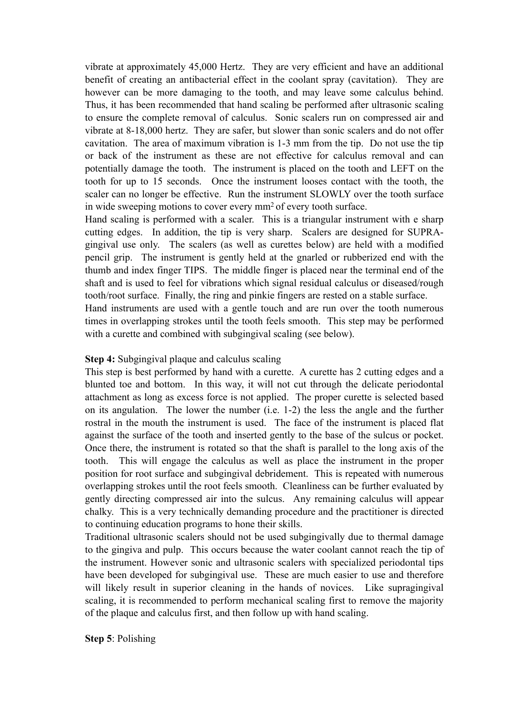vibrate at approximately 45,000 Hertz. They are very efficient and have an additional benefit of creating an antibacterial effect in the coolant spray (cavitation). They are however can be more damaging to the tooth, and may leave some calculus behind. Thus, it has been recommended that hand scaling be performed after ultrasonic scaling to ensure the complete removal of calculus. Sonic scalers run on compressed air and vibrate at 8-18,000 hertz. They are safer, but slower than sonic scalers and do not offer cavitation. The area of maximum vibration is 1-3 mm from the tip. Do not use the tip or back of the instrument as these are not effective for calculus removal and can potentially damage the tooth. The instrument is placed on the tooth and LEFT on the tooth for up to 15 seconds. Once the instrument looses contact with the tooth, the scaler can no longer be effective. Run the instrument SLOWLY over the tooth surface in wide sweeping motions to cover every mm2 of every tooth surface.

Hand scaling is performed with a scaler. This is a triangular instrument with e sharp cutting edges. In addition, the tip is very sharp. Scalers are designed for SUPRAgingival use only. The scalers (as well as curettes below) are held with a modified pencil grip. The instrument is gently held at the gnarled or rubberized end with the thumb and index finger TIPS. The middle finger is placed near the terminal end of the shaft and is used to feel for vibrations which signal residual calculus or diseased/rough tooth/root surface. Finally, the ring and pinkie fingers are rested on a stable surface.

Hand instruments are used with a gentle touch and are run over the tooth numerous times in overlapping strokes until the tooth feels smooth. This step may be performed with a curette and combined with subgingival scaling (see below).

## **Step 4:** Subgingival plaque and calculus scaling

This step is best performed by hand with a curette. A curette has 2 cutting edges and a blunted toe and bottom. In this way, it will not cut through the delicate periodontal attachment as long as excess force is not applied. The proper curette is selected based on its angulation. The lower the number (i.e. 1-2) the less the angle and the further rostral in the mouth the instrument is used. The face of the instrument is placed flat against the surface of the tooth and inserted gently to the base of the sulcus or pocket. Once there, the instrument is rotated so that the shaft is parallel to the long axis of the tooth. This will engage the calculus as well as place the instrument in the proper position for root surface and subgingival debridement. This is repeated with numerous overlapping strokes until the root feels smooth. Cleanliness can be further evaluated by gently directing compressed air into the sulcus. Any remaining calculus will appear chalky. This is a very technically demanding procedure and the practitioner is directed to continuing education programs to hone their skills.

Traditional ultrasonic scalers should not be used subgingivally due to thermal damage to the gingiva and pulp. This occurs because the water coolant cannot reach the tip of the instrument. However sonic and ultrasonic scalers with specialized periodontal tips have been developed for subgingival use. These are much easier to use and therefore will likely result in superior cleaning in the hands of novices. Like supragingival scaling, it is recommended to perform mechanical scaling first to remove the majority of the plaque and calculus first, and then follow up with hand scaling.

**Step 5**: Polishing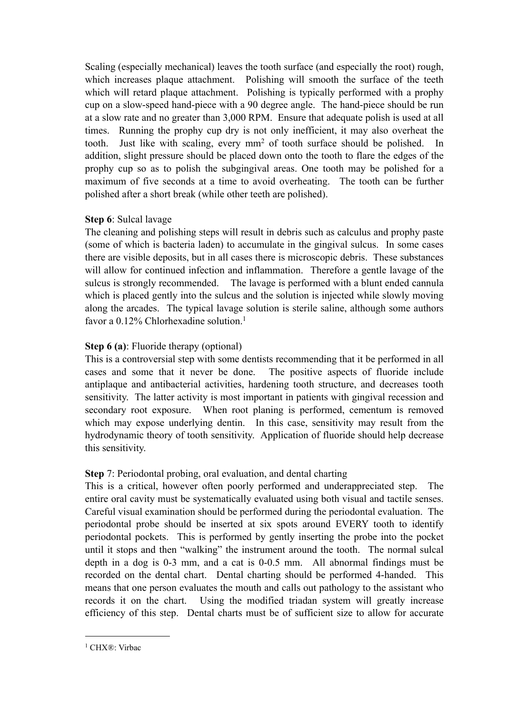Scaling (especially mechanical) leaves the tooth surface (and especially the root) rough, which increases plaque attachment. Polishing will smooth the surface of the teeth which will retard plaque attachment. Polishing is typically performed with a prophy cup on a slow-speed hand-piece with a 90 degree angle. The hand-piece should be run at a slow rate and no greater than 3,000 RPM. Ensure that adequate polish is used at all times. Running the prophy cup dry is not only inefficient, it may also overheat the tooth. Just like with scaling, every mm2 of tooth surface should be polished. In addition, slight pressure should be placed down onto the tooth to flare the edges of the prophy cup so as to polish the subgingival areas. One tooth may be polished for a maximum of five seconds at a time to avoid overheating. The tooth can be further polished after a short break (while other teeth are polished).

## **Step 6**: Sulcal lavage

The cleaning and polishing steps will result in debris such as calculus and prophy paste (some of which is bacteria laden) to accumulate in the gingival sulcus. In some cases there are visible deposits, but in all cases there is microscopic debris. These substances will allow for continued infection and inflammation. Therefore a gentle lavage of the sulcus is strongly recommended. The lavage is performed with a blunt ended cannula which is placed gently into the sulcus and the solution is injected while slowly moving along the arcades. The typical lavage solution is sterile saline, although some authors favor a 0[.1](#page-2-0)2% Chlorhexadine solution.<sup>1</sup>

## **Step 6 (a)**: Fluoride therapy (optional)

This is a controversial step with some dentists recommending that it be performed in all cases and some that it never be done. The positive aspects of fluoride include antiplaque and antibacterial activities, hardening tooth structure, and decreases tooth sensitivity. The latter activity is most important in patients with gingival recession and secondary root exposure. When root planing is performed, cementum is removed which may expose underlying dentin. In this case, sensitivity may result from the hydrodynamic theory of tooth sensitivity. Application of fluoride should help decrease this sensitivity.

## **Step** 7: Periodontal probing, oral evaluation, and dental charting

This is a critical, however often poorly performed and underappreciated step. The entire oral cavity must be systematically evaluated using both visual and tactile senses. Careful visual examination should be performed during the periodontal evaluation. The periodontal probe should be inserted at six spots around EVERY tooth to identify periodontal pockets. This is performed by gently inserting the probe into the pocket until it stops and then "walking" the instrument around the tooth. The normal sulcal depth in a dog is 0-3 mm, and a cat is 0-0.5 mm. All abnormal findings must be recorded on the dental chart. Dental charting should be performed 4-handed. This means that one person evaluates the mouth and calls out pathology to the assistant who records it on the chart. Using the modified triadan system will greatly increase efficiency of this step. Dental charts must be of sufficient size to allow for accurate

<span id="page-2-0"></span><sup>1</sup> CHX®: Virbac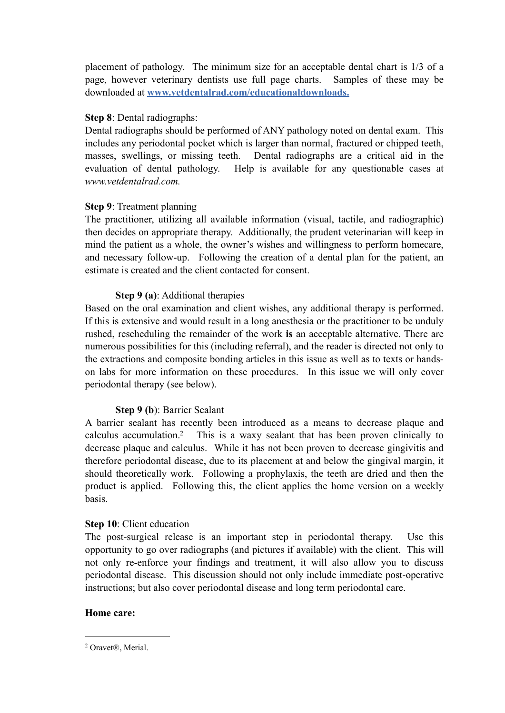placement of pathology. The minimum size for an acceptable dental chart is 1/3 of a page, however veterinary dentists use full page charts. Samples of these may be downloaded at **[www.vetdentalrad.com/educational](http://www.vetdentalrad.com/educational)downloads.**

## **Step 8**: Dental radiographs:

Dental radiographs should be performed of ANY pathology noted on dental exam. This includes any periodontal pocket which is larger than normal, fractured or chipped teeth, masses, swellings, or missing teeth. Dental radiographs are a critical aid in the evaluation of dental pathology. Help is available for any questionable cases at *www.vetdentalrad.com.* 

## **Step 9**: Treatment planning

The practitioner, utilizing all available information (visual, tactile, and radiographic) then decides on appropriate therapy. Additionally, the prudent veterinarian will keep in mind the patient as a whole, the owner's wishes and willingness to perform homecare, and necessary follow-up. Following the creation of a dental plan for the patient, an estimate is created and the client contacted for consent.

## **Step 9 (a)**: Additional therapies

Based on the oral examination and client wishes, any additional therapy is performed. If this is extensive and would result in a long anesthesia or the practitioner to be unduly rushed, rescheduling the remainder of the work **is** an acceptable alternative. There are numerous possibilities for this (including referral), and the reader is directed not only to the extractions and composite bonding articles in this issue as well as to texts or handson labs for more information on these procedures. In this issue we will only cover periodontal therapy (see below).

## **Step 9 (b**): Barrier Sealant

A barrier sealant has recently been introduced as a means to decrease plaque and calculus accumulation[.2](#page-3-0) This is a waxy sealant that has been proven clinically to decrease plaque and calculus. While it has not been proven to decrease gingivitis and therefore periodontal disease, due to its placement at and below the gingival margin, it should theoretically work. Following a prophylaxis, the teeth are dried and then the product is applied. Following this, the client applies the home version on a weekly basis.

## **Step 10**: Client education

The post-surgical release is an important step in periodontal therapy. Use this opportunity to go over radiographs (and pictures if available) with the client. This will not only re-enforce your findings and treatment, it will also allow you to discuss periodontal disease. This discussion should not only include immediate post-operative instructions; but also cover periodontal disease and long term periodontal care.

## **Home care:**

<span id="page-3-0"></span><sup>2</sup> Oravet®, Merial.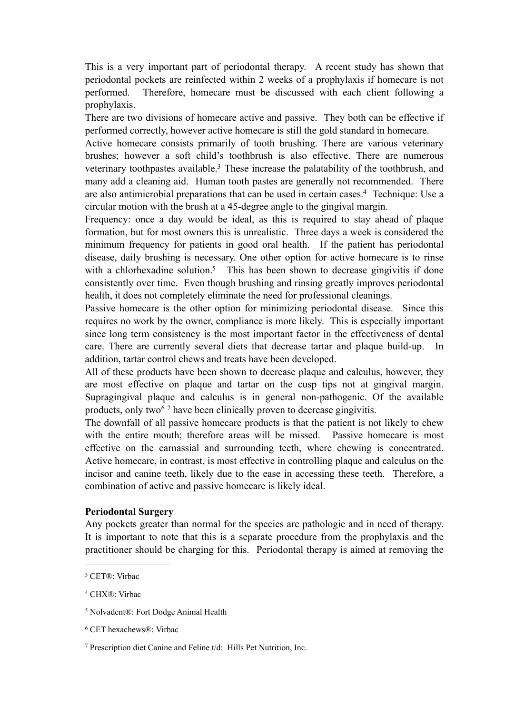This is a very important part of periodontal therapy. A recent study has shown that periodontal pockets are reinfected within 2 weeks of a prophylaxis if homecare is not performed. Therefore, homecare must be discussed with each client following a prophylaxis.

There are two divisions of homecare active and passive. They both can be effective if performed correctly, however active homecare is still the gold standard in homecare.

Active homecare consists primarily of tooth brushing. There are various veterinary brushes; however a soft child's toothbrush is also effective. There are numerous veterinary toothpastes available.<sup>3</sup> These increase the palatability of the toothbrush, and many add a cleaning aid. Human tooth pastes are generally not recommended. There are also antimicrobial preparations that can be used in certain cases[.4](#page-4-1) Technique: Use a circular motion with the brush at a 45-degree angle to the gingival margin.

Frequency: once a day would be ideal, as this is required to stay ahead of plaque formation, but for most owners this is unrealistic. Three days a week is considered the minimum frequency for patients in good oral health. If the patient has periodontal disease, daily brushing is necessary. One other option for active homecare is to rinse with a chlorhexadine solution.<sup>5</sup> This has been shown to decrease gingivitis if done consistently over time. Even though brushing and rinsing greatly improves periodontal health, it does not completely eliminate the need for professional cleanings.

Passive homecare is the other option for minimizing periodontal disease. Since this requires no work by the owner, compliance is more likely. This is especially important since long term consistency is the most important factor in the effectiveness of dental care. There are currently several diets that decrease tartar and plaque build-up. In addition, tartar control chews and treats have been developed.

All of these products have been shown to decrease plaque and calculus, however, they are most effective on plaque and tartar on the cusp tips not at gingival margin. Supragingival plaque and calculus is in general non-pathogenic. Of the available products, only two<sup>[6](#page-4-3) 7</sup> have been clinically proven to decrease gingivitis.

The downfall of all passive homecare products is that the patient is not likely to chew with the entire mouth; therefore areas will be missed. Passive homecare is most effective on the carnassial and surrounding teeth, where chewing is concentrated. Active homecare, in contrast, is most effective in controlling plaque and calculus on the incisor and canine teeth, likely due to the ease in accessing these teeth. Therefore, a combination of active and passive homecare is likely ideal.

## **Periodontal Surgery**

Any pockets greater than normal for the species are pathologic and in need of therapy. It is important to note that this is a separate procedure from the prophylaxis and the practitioner should be charging for this. Periodontal therapy is aimed at removing the

<span id="page-4-1"></span>4 CHX®: Virbac

<span id="page-4-0"></span><sup>3</sup> CET®: Virbac

<span id="page-4-2"></span><sup>5</sup> Nolvadent®: Fort Dodge Animal Health

<span id="page-4-3"></span><sup>6</sup> CET hexachews®: Virbac

<span id="page-4-4"></span><sup>7</sup> Prescription diet Canine and Feline t/d: Hills Pet Nutrition, Inc.